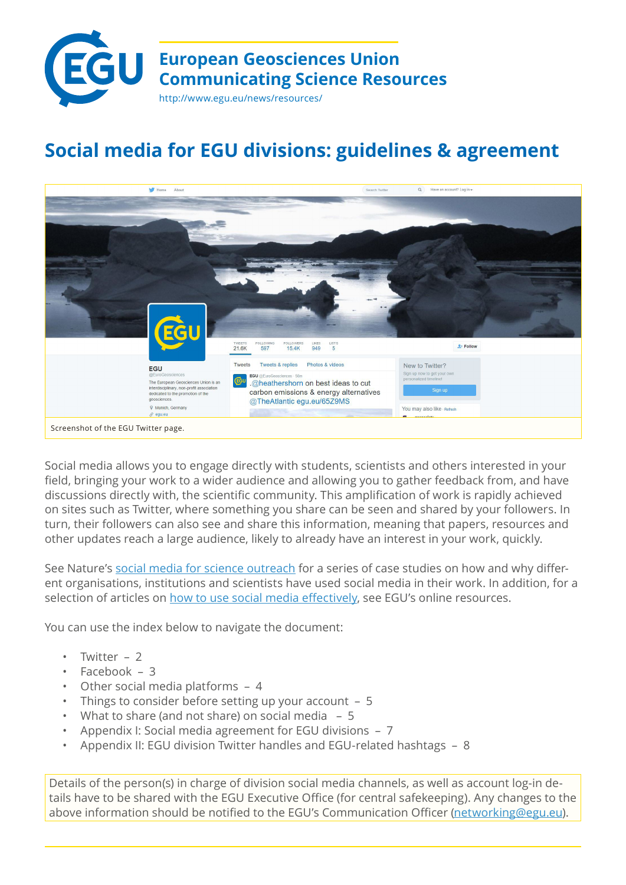

# **Social media for EGU divisions: guidelines & agreement**



Social media allows you to engage directly with students, scientists and others interested in your field, bringing your work to a wider audience and allowing you to gather feedback from, and have discussions directly with, the scientific community. This amplification of work is rapidly achieved on sites such as Twitter, where something you share can be seen and shared by your followers. In turn, their followers can also see and share this information, meaning that papers, resources and other updates reach a large audience, likely to already have an interest in your work, quickly.

See Nature's [social media for science outreach](http://www.nature.com/spoton/tag/social-media-case-study/) for a series of case studies on how and why different organisations, institutions and scientists have used social media in their work. In addition, for a selection of articles on [how to use social media effectively,](https://www.egu.eu/ecs/resources/?keywords=social+media&category=) see EGU's online resources.

You can use the index below to navigate the document:

- [Twitter 2](#page-1-0)
- [Facebook 3](#page-2-0)
- [Other social media platforms 4](#page-3-0)
- [Things to consider before setting up your account 5](#page-4-0)
- [What to share \(and not share\) on social media](#page-4-0)  5
- [Appendix I: Social media agreement for EGU divisions 7](#page-6-0)
- [Appendix II: EGU division Twitter handles and EGU-related hashtags 8](#page-7-0)

Details of the person(s) in charge of division social media channels, as well as account log-in details have to be shared with the EGU Executive Office (for central safekeeping). Any changes to the above information should be notified to the EGU's Communication Officer [\(networking@egu.eu\)](mailto:?subject=networking%40egu.eu).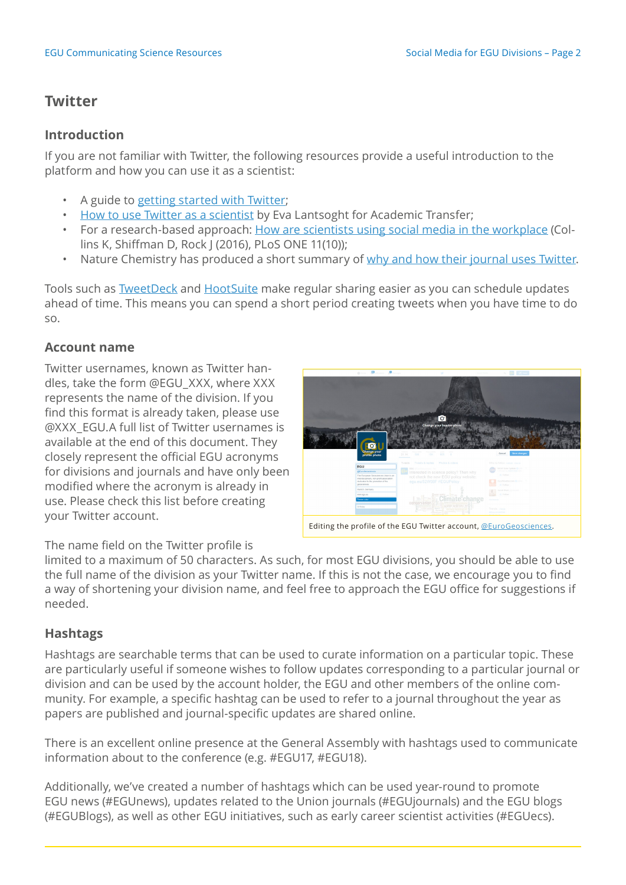## <span id="page-1-0"></span>**Twitter**

#### **Introduction**

If you are not familiar with Twitter, the following resources provide a useful introduction to the platform and how you can use it as a scientist:

- A guide to [getting started with Twitter](https://support.twitter.com/articles/215585-twitter-101-getting-started-with-twitter);
- [How to use Twitter as a scientist](https://www.academictransfer.com/phdtalk/how-to-use-twitter-as-a-scientist/) by Eva Lantsoght for Academic Transfer;
- For a research-based approach: [How are scientists using social media in the workplace](http://journals.plos.org/plosone/article?id=10.1371/journal.pone.0162680) (Collins K, Shiffman D, Rock J (2016), PLoS ONE 11(10));
- Nature Chemistry has produced a short summary of [why and how their journal uses Twitter.](http://blogs.nature.com/thescepticalchymist/2013/06/all-you-can-tweet-the-blog-version.html/?WT.mc_id=TWT_NatureBlogs)

Tools such as [TweetDeck](http://tweetdeck.com/) and [HootSuite](https://hootsuite.com/) make regular sharing easier as you can schedule updates ahead of time. This means you can spend a short period creating tweets when you have time to do so.

#### **Account name**

Twitter usernames, known as Twitter handles, take the form @EGU\_XXX, where XXX represents the name of the division. If you find this format is already taken, please use @XXX\_EGU.A full list of Twitter usernames is available at the end of this document. They closely represent the official EGU acronyms for divisions and journals and have only been modified where the acronym is already in use. Please check this list before creating your Twitter account.

|  | <b>Comment Commencer Dummer</b>                                                                |                                                                                                                                                            | Gall Miller                                            |
|--|------------------------------------------------------------------------------------------------|------------------------------------------------------------------------------------------------------------------------------------------------------------|--------------------------------------------------------|
|  | <b>Change your</b><br>profile photo                                                            | ö<br>Change your header photo<br><b>LICTS</b><br>men<br>LICE'S.<br>21.1K<br>533<br>188<br>905                                                              | <b>Save changes</b><br>Cancel                          |
|  |                                                                                                | Tweets & replies<br>Tweets<br>Photos & videos                                                                                                              | Who to follow Herear you an                            |
|  | EGU                                                                                            |                                                                                                                                                            | BASA Solar System (S 1111)<br>showed by AGU's East and |
|  | <b><i><u>@EuroGeosciences</u></i></b><br>The European Geosciences Union is an                  | Interested in science policy? Then why<br>not check the new EGU policy website:<br>equ.eu/52W08F #EGUPolicy<br>Climate <sup>8</sup> change<br>conservation | d. Fellow                                              |
|  | interdisciplinary, non-profit association<br>dedicated to the promotion of the<br>geosciences. |                                                                                                                                                            | Accultivative core @ (Con.  )<br>st. Fellow            |
|  | Marrich, Germany                                                                               |                                                                                                                                                            | Jacob Ward (Ticsbeer)                                  |
|  | www.egu.co                                                                                     |                                                                                                                                                            | -3. Fethree                                            |
|  | <b>Theme coing</b>                                                                             |                                                                                                                                                            | Contractor                                             |
|  | Birthday                                                                                       | water scarcity<br>environment                                                                                                                              | Trends - prayer<br>450 www.bestumptat                  |
|  |                                                                                                | Editing the profile of the EGU Twitter account, @EuroGeosciences.                                                                                          |                                                        |

The name field on the Twitter profile is

limited to a maximum of 50 characters. As such, for most EGU divisions, you should be able to use the full name of the division as your Twitter name. If this is not the case, we encourage you to find a way of shortening your division name, and feel free to approach the EGU office for suggestions if needed.

## **Hashtags**

Hashtags are searchable terms that can be used to curate information on a particular topic. These are particularly useful if someone wishes to follow updates corresponding to a particular journal or division and can be used by the account holder, the EGU and other members of the online community. For example, a specific hashtag can be used to refer to a journal throughout the year as papers are published and journal-specific updates are shared online.

There is an excellent online presence at the General Assembly with hashtags used to communicate information about to the conference (e.g. #EGU17, #EGU18).

Additionally, we've created a number of hashtags which can be used year-round to promote EGU news (#EGUnews), updates related to the Union journals (#EGUjournals) and the EGU blogs (#EGUBlogs), as well as other EGU initiatives, such as early career scientist activities (#EGUecs).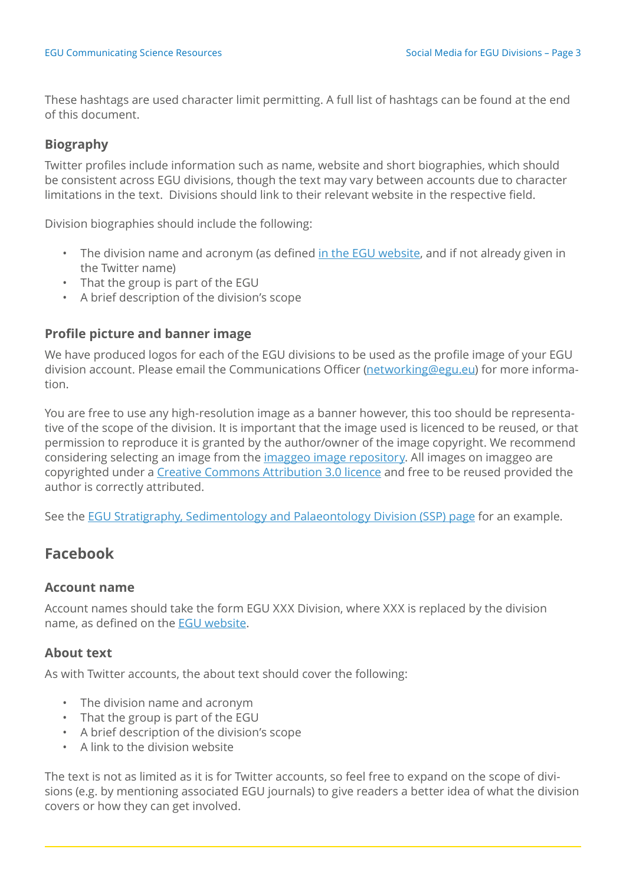<span id="page-2-0"></span>These hashtags are used character limit permitting. A full list of hashtags can be found at the end of this document.

#### **Biography**

Twitter profiles include information such as name, website and short biographies, which should be consistent across EGU divisions, though the text may vary between accounts due to character limitations in the text. Divisions should link to their relevant website in the respective field.

Division biographies should include the following:

- The division name and acronym (as defined [in the EGU website,](https://www.egu.eu/structure/divisions-and-present-officers/) and if not already given in the Twitter name)
- That the group is part of the EGU
- A brief description of the division's scope

#### **Profile picture and banner image**

We have produced logos for each of the EGU divisions to be used as the profile image of your EGU division account. Please email the Communications Officer [\(networking@egu.eu\)](mailto:networking%40egu.eu?subject=EGU%20divisions%20social%20media) for more information.

You are free to use any high-resolution image as a banner however, this too should be representative of the scope of the division. It is important that the image used is licenced to be reused, or that permission to reproduce it is granted by the author/owner of the image copyright. We recommend considering selecting an image from the *imaggeo image repository*. All images on imaggeo are copyrighted under a [Creative Commons Attribution 3.0 licence](http://creativecommons.org/licenses/by/3.0/) and free to be reused provided the author is correctly attributed.

See the [EGU Stratigraphy, Sedimentology and Palaeontology Division \(SSP\) page](https://twitter.com/EGU_SSP) for an example.

## **Facebook**

#### **Account name**

Account names should take the form EGU XXX Division, where XXX is replaced by the division name, as defined on the [EGU website](https://www.egu.eu/structure/divisions-and-present-officers/).

#### **About text**

As with Twitter accounts, the about text should cover the following:

- The division name and acronym
- That the group is part of the EGU
- A brief description of the division's scope
- A link to the division website

The text is not as limited as it is for Twitter accounts, so feel free to expand on the scope of divisions (e.g. by mentioning associated EGU journals) to give readers a better idea of what the division covers or how they can get involved.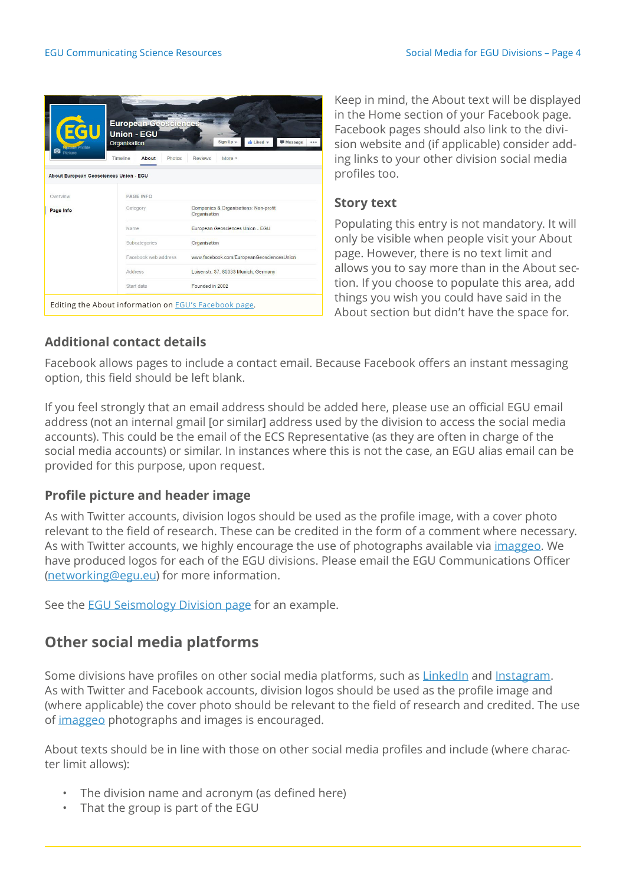<span id="page-3-0"></span>

| <b>EGU</b><br><b>Sprate Profile</b>                        | <b>European Geoscierices</b><br><b>Union - EGU</b><br>Id Liked v<br>Sign Up $\star$<br><b>Message</b><br>Organisation<br> |                                                       |  |  |  |
|------------------------------------------------------------|---------------------------------------------------------------------------------------------------------------------------|-------------------------------------------------------|--|--|--|
| <b>O</b> Picture<br>About European Geosciences Union - EGU | Timeline<br>About<br>Photos                                                                                               | <b>Reviews</b><br>More +                              |  |  |  |
| Overview                                                   | <b>PAGE INFO</b>                                                                                                          |                                                       |  |  |  |
| Page Info                                                  | Category                                                                                                                  | Companies & Organisations: Non-profit<br>Organisation |  |  |  |
|                                                            | Name                                                                                                                      | European Geosciences Union - EGU                      |  |  |  |
|                                                            | Subcategories                                                                                                             | Organisation                                          |  |  |  |
|                                                            | Facebook web address                                                                                                      | www.facebook.com/EuropeanGeosciencesUnion             |  |  |  |
|                                                            | Address                                                                                                                   | Luisenstr. 37, 80333 Munich, Germany                  |  |  |  |
|                                                            | Start date                                                                                                                | Founded in 2002                                       |  |  |  |

Keep in mind, the About text will be displayed in the Home section of your Facebook page. Facebook pages should also link to the division website and (if applicable) consider adding links to your other division social media profiles too.

### **Story text**

Populating this entry is not mandatory. It will only be visible when people visit your About page. However, there is no text limit and allows you to say more than in the About section. If you choose to populate this area, add things you wish you could have said in the About section but didn't have the space for.

## **Additional contact details**

Facebook allows pages to include a contact email. Because Facebook offers an instant messaging option, this field should be left blank.

If you feel strongly that an email address should be added here, please use an official EGU email address (not an internal gmail [or similar] address used by the division to access the social media accounts). This could be the email of the ECS Representative (as they are often in charge of the social media accounts) or similar. In instances where this is not the case, an EGU alias email can be provided for this purpose, upon request.

## **Profile picture and header image**

As with Twitter accounts, division logos should be used as the profile image, with a cover photo relevant to the field of research. These can be credited in the form of a comment where necessary. As with Twitter accounts, we highly encourage the use of photographs available via *[imaggeo](http://imaggeo.egu.eu/)*. We have produced logos for each of the EGU divisions. Please email the EGU Communications Officer ([networking@egu.eu](mailto:networking%40egu.eu?subject=EGU%20divisions%20social%20media)) for more information.

See the [EGU Seismology Division page](https://www.facebook.com/EGUSeismologyDivision/) for an example.

# **Other social media platforms**

Some divisions have profiles on other social media platforms, such as [LinkedIn](https://www.linkedin.com/) and [Instagram.](https://www.instagram.com/?hl=en) As with Twitter and Facebook accounts, division logos should be used as the profile image and (where applicable) the cover photo should be relevant to the field of research and credited. The use of [imaggeo](http://imaggeo.egu.eu/) photographs and images is encouraged.

About texts should be in line with those on other social media profiles and include (where character limit allows):

- The division name and acronym (as defined here)
- That the group is part of the EGU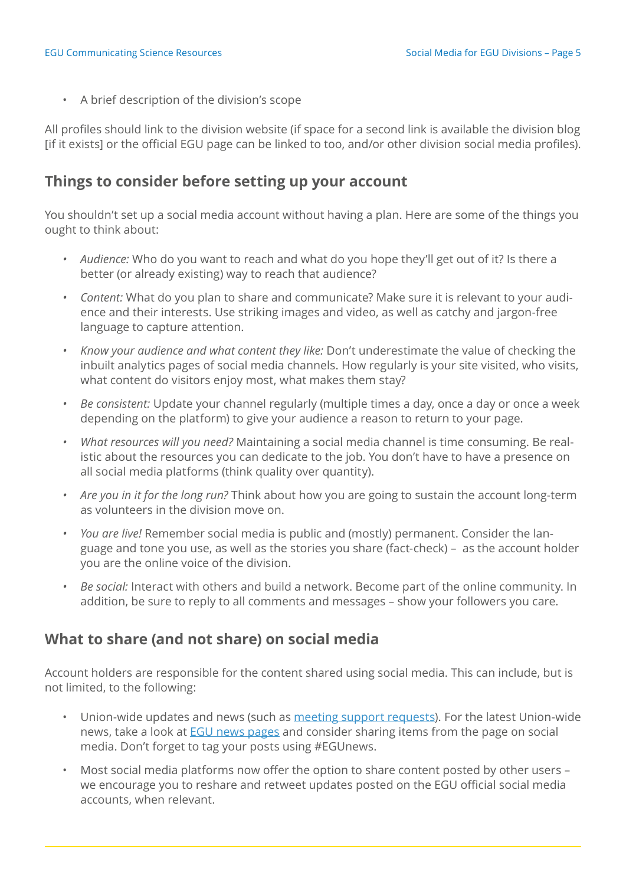<span id="page-4-0"></span>• A brief description of the division's scope

All profiles should link to the division website (if space for a second link is available the division blog [if it exists] or the official EGU page can be linked to too, and/or other division social media profiles).

## **Things to consider before setting up your account**

You shouldn't set up a social media account without having a plan. Here are some of the things you ought to think about:

- *• Audience:* Who do you want to reach and what do you hope they'll get out of it? Is there a better (or already existing) way to reach that audience?
- *• Content:* What do you plan to share and communicate? Make sure it is relevant to your audience and their interests. Use striking images and video, as well as catchy and jargon-free language to capture attention.
- *• Know your audience and what content they like:* Don't underestimate the value of checking the inbuilt analytics pages of social media channels. How regularly is your site visited, who visits, what content do visitors enjoy most, what makes them stay?
- *• Be consistent:* Update your channel regularly (multiple times a day, once a day or once a week depending on the platform) to give your audience a reason to return to your page.
- *• What resources will you need?* Maintaining a social media channel is time consuming. Be realistic about the resources you can dedicate to the job. You don't have to have a presence on all social media platforms (think quality over quantity).
- *• Are you in it for the long run?* Think about how you are going to sustain the account long-term as volunteers in the division move on.
- *• You are live!* Remember social media is public and (mostly) permanent. Consider the language and tone you use, as well as the stories you share (fact-check) – as the account holder you are the online voice of the division.
- *• Be social:* Interact with others and build a network. Become part of the online community. In addition, be sure to reply to all comments and messages – show your followers you care.

## **What to share (and not share) on social media**

Account holders are responsible for the content shared using social media. This can include, but is not limited, to the following:

- Union-wide updates and news (such as [meeting support requests\)](https://www.egu.eu/meetings/support-request/). For the latest Union-wide news, take a look at [EGU news pages](https://www.egu.eu/news/all/) and consider sharing items from the page on social media. Don't forget to tag your posts using #EGUnews.
- Most social media platforms now offer the option to share content posted by other users we encourage you to reshare and retweet updates posted on the EGU official social media accounts, when relevant.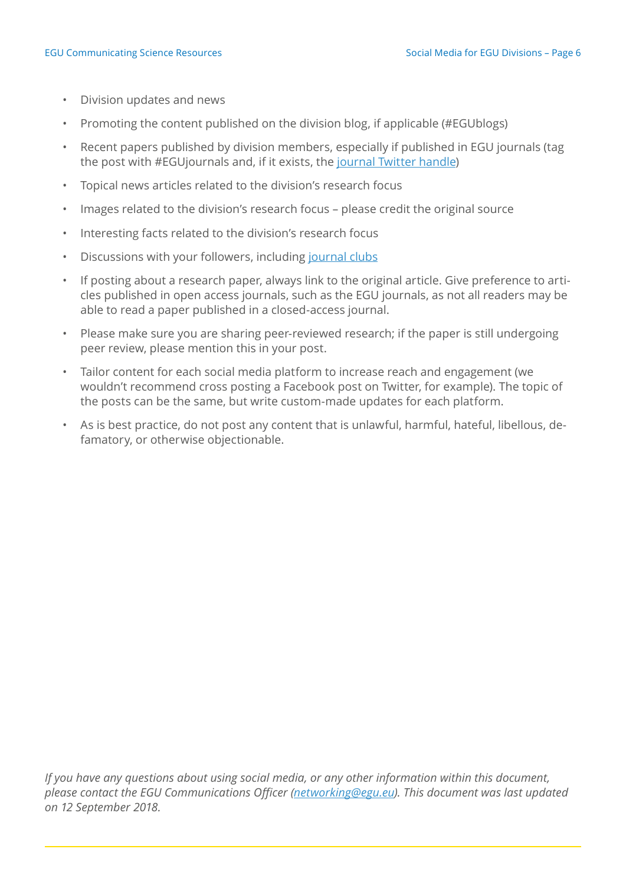- Division updates and news
- Promoting the content published on the division blog, if applicable (#EGUblogs)
- Recent papers published by division members, especially if published in EGU journals (tag the post with #EGUjournals and, if it exists, the [journal Twitter handle](https://www.egu.eu/outreach/social-media/#journals))
- Topical news articles related to the division's research focus
- Images related to the division's research focus please credit the original source
- Interesting facts related to the division's research focus
- Discussions with your followers, including [journal clubs](http://www.nature.com/spoton/2013/04/social-media-for-science-outreach-a-case-study-a-twitter-journal-club/)
- If posting about a research paper, always link to the original article. Give preference to articles published in open access journals, such as the EGU journals, as not all readers may be able to read a paper published in a closed-access journal.
- Please make sure you are sharing peer-reviewed research; if the paper is still undergoing peer review, please mention this in your post.
- Tailor content for each social media platform to increase reach and engagement (we wouldn't recommend cross posting a Facebook post on Twitter, for example). The topic of the posts can be the same, but write custom-made updates for each platform.
- As is best practice, do not post any content that is unlawful, harmful, hateful, libellous, defamatory, or otherwise objectionable.

*If you have any questions about using social media, or any other information within this document, please contact the EGU Communications Officer ([networking@egu.eu](mailto:networking%40egu.eu?subject=EGU%20blogs)). This document was last updated on 12 September 2018.*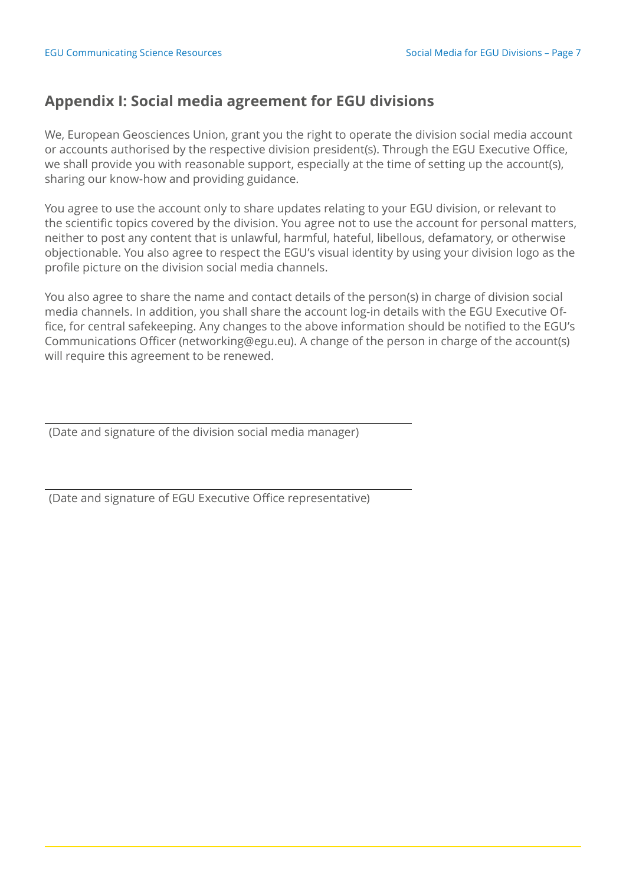## <span id="page-6-0"></span>**Appendix I: Social media agreement for EGU divisions**

We, European Geosciences Union, grant you the right to operate the division social media account or accounts authorised by the respective division president(s). Through the EGU Executive Office, we shall provide you with reasonable support, especially at the time of setting up the account(s), sharing our know-how and providing guidance.

You agree to use the account only to share updates relating to your EGU division, or relevant to the scientific topics covered by the division. You agree not to use the account for personal matters, neither to post any content that is unlawful, harmful, hateful, libellous, defamatory, or otherwise objectionable. You also agree to respect the EGU's visual identity by using your division logo as the profile picture on the division social media channels.

You also agree to share the name and contact details of the person(s) in charge of division social media channels. In addition, you shall share the account log-in details with the EGU Executive Office, for central safekeeping. Any changes to the above information should be notified to the EGU's Communications Officer (networking@egu.eu). A change of the person in charge of the account(s) will require this agreement to be renewed.

(Date and signature of the division social media manager)

(Date and signature of EGU Executive Office representative)